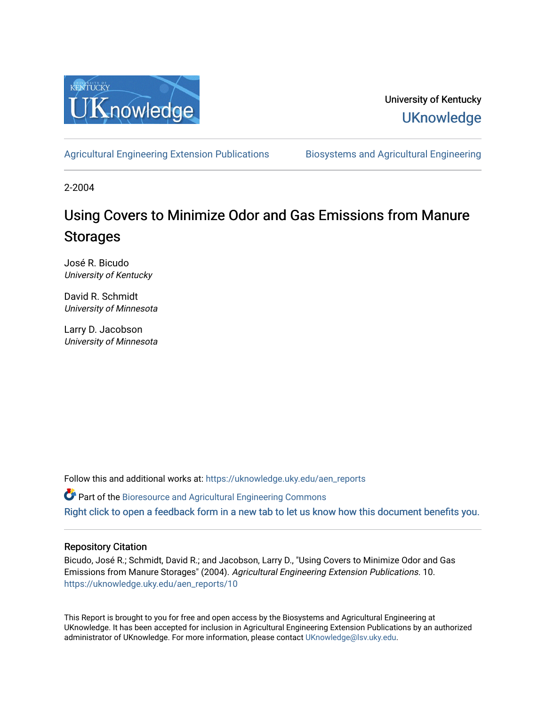

University of Kentucky **UKnowledge** 

[Agricultural Engineering Extension Publications](https://uknowledge.uky.edu/aen_reports) Biosystems and Agricultural Engineering

2-2004

# Using Covers to Minimize Odor and Gas Emissions from Manure Storages

José R. Bicudo University of Kentucky

David R. Schmidt University of Minnesota

Larry D. Jacobson University of Minnesota

Follow this and additional works at: [https://uknowledge.uky.edu/aen\\_reports](https://uknowledge.uky.edu/aen_reports?utm_source=uknowledge.uky.edu%2Faen_reports%2F10&utm_medium=PDF&utm_campaign=PDFCoverPages)

Part of the [Bioresource and Agricultural Engineering Commons](http://network.bepress.com/hgg/discipline/1056?utm_source=uknowledge.uky.edu%2Faen_reports%2F10&utm_medium=PDF&utm_campaign=PDFCoverPages)

[Right click to open a feedback form in a new tab to let us know how this document benefits you.](https://uky.az1.qualtrics.com/jfe/form/SV_9mq8fx2GnONRfz7)

#### Repository Citation

Bicudo, José R.; Schmidt, David R.; and Jacobson, Larry D., "Using Covers to Minimize Odor and Gas Emissions from Manure Storages" (2004). Agricultural Engineering Extension Publications. 10. [https://uknowledge.uky.edu/aen\\_reports/10](https://uknowledge.uky.edu/aen_reports/10?utm_source=uknowledge.uky.edu%2Faen_reports%2F10&utm_medium=PDF&utm_campaign=PDFCoverPages) 

This Report is brought to you for free and open access by the Biosystems and Agricultural Engineering at UKnowledge. It has been accepted for inclusion in Agricultural Engineering Extension Publications by an authorized administrator of UKnowledge. For more information, please contact [UKnowledge@lsv.uky.edu](mailto:UKnowledge@lsv.uky.edu).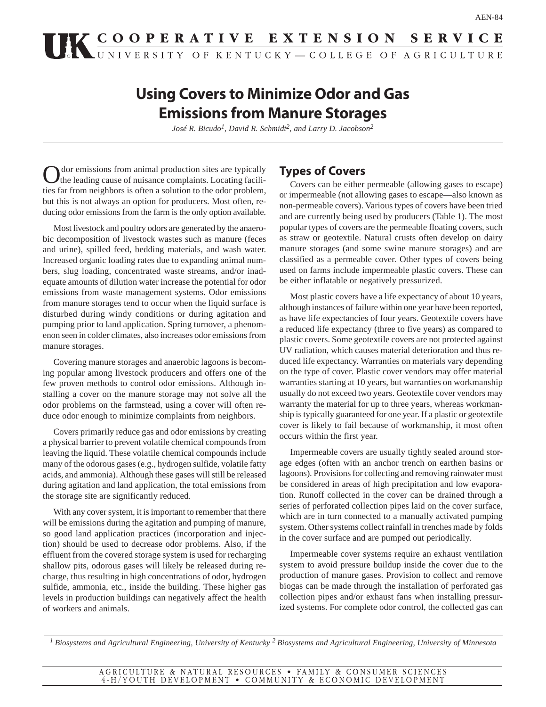# UK COOPERATIVE EXTENSION SERVICE

# **Using Covers to Minimize Odor and Gas Emissions from Manure Storages**

*José R. Bicudo1, David R. Schmidt2, and Larry D. Jacobson2*

Odor emissions from animal production sites are typically the leading cause of nuisance complaints. Locating facilities far from neighbors is often a solution to the odor problem, but this is not always an option for producers. Most often, reducing odor emissions from the farm is the only option available.

Most livestock and poultry odors are generated by the anaerobic decomposition of livestock wastes such as manure (feces and urine), spilled feed, bedding materials, and wash water. Increased organic loading rates due to expanding animal numbers, slug loading, concentrated waste streams, and/or inadequate amounts of dilution water increase the potential for odor emissions from waste management systems. Odor emissions from manure storages tend to occur when the liquid surface is disturbed during windy conditions or during agitation and pumping prior to land application. Spring turnover, a phenomenon seen in colder climates, also increases odor emissions from manure storages.

Covering manure storages and anaerobic lagoons is becoming popular among livestock producers and offers one of the few proven methods to control odor emissions. Although installing a cover on the manure storage may not solve all the odor problems on the farmstead, using a cover will often reduce odor enough to minimize complaints from neighbors.

Covers primarily reduce gas and odor emissions by creating a physical barrier to prevent volatile chemical compounds from leaving the liquid. These volatile chemical compounds include many of the odorous gases (e.g., hydrogen sulfide, volatile fatty acids, and ammonia). Although these gases will still be released during agitation and land application, the total emissions from the storage site are significantly reduced.

With any cover system, it is important to remember that there will be emissions during the agitation and pumping of manure, so good land application practices (incorporation and injection) should be used to decrease odor problems. Also, if the effluent from the covered storage system is used for recharging shallow pits, odorous gases will likely be released during recharge, thus resulting in high concentrations of odor, hydrogen sulfide, ammonia, etc., inside the building. These higher gas levels in production buildings can negatively affect the health of workers and animals.

## **Types of Covers**

Covers can be either permeable (allowing gases to escape) or impermeable (not allowing gases to escape—also known as non-permeable covers). Various types of covers have been tried and are currently being used by producers (Table 1). The most popular types of covers are the permeable floating covers, such as straw or geotextile. Natural crusts often develop on dairy manure storages (and some swine manure storages) and are classified as a permeable cover. Other types of covers being used on farms include impermeable plastic covers. These can be either inflatable or negatively pressurized.

Most plastic covers have a life expectancy of about 10 years, although instances of failure within one year have been reported, as have life expectancies of four years. Geotextile covers have a reduced life expectancy (three to five years) as compared to plastic covers. Some geotextile covers are not protected against UV radiation, which causes material deterioration and thus reduced life expectancy. Warranties on materials vary depending on the type of cover. Plastic cover vendors may offer material warranties starting at 10 years, but warranties on workmanship usually do not exceed two years. Geotextile cover vendors may warranty the material for up to three years, whereas workmanship is typically guaranteed for one year. If a plastic or geotextile cover is likely to fail because of workmanship, it most often occurs within the first year.

Impermeable covers are usually tightly sealed around storage edges (often with an anchor trench on earthen basins or lagoons). Provisions for collecting and removing rainwater must be considered in areas of high precipitation and low evaporation. Runoff collected in the cover can be drained through a series of perforated collection pipes laid on the cover surface, which are in turn connected to a manually activated pumping system. Other systems collect rainfall in trenches made by folds in the cover surface and are pumped out periodically.

Impermeable cover systems require an exhaust ventilation system to avoid pressure buildup inside the cover due to the production of manure gases. Provision to collect and remove biogas can be made through the installation of perforated gas collection pipes and/or exhaust fans when installing pressurized systems. For complete odor control, the collected gas can

*1 Biosystems and Agricultural Engineering, University of Kentucky 2 Biosystems and Agricultural Engineering, University of Minnesota*

AGRICULTURE & NATURAL RESOURCES • FAMILY & CONSUMER SCIENCES 4-H/YOUTH DEVELOPMENT • COMMUNITY & ECONOMIC DEVELOPMENT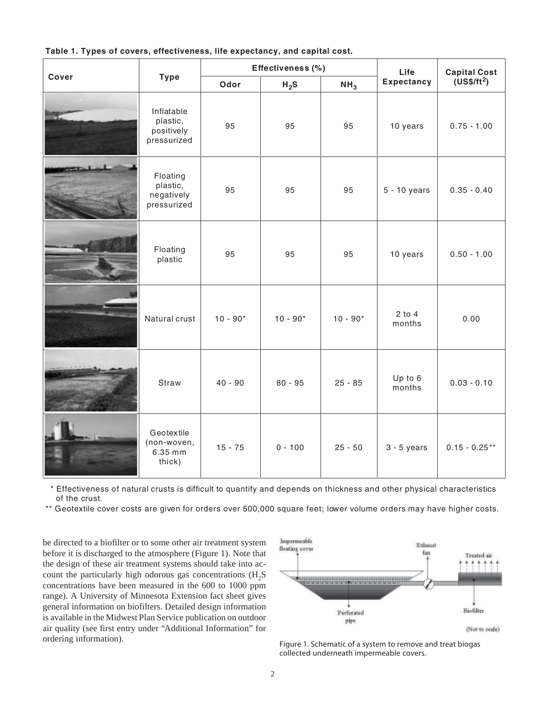| Cover | <b>Type</b>                                         | Effectiveness (%) |            |                 | Life                 | <b>Capital Cost</b> |
|-------|-----------------------------------------------------|-------------------|------------|-----------------|----------------------|---------------------|
|       |                                                     | Odor              | $H_2S$     | NH <sub>3</sub> | <b>Expectancy</b>    | $(US$/ft^2)$        |
| Ħ.    | Inflatable<br>plastic,<br>positively<br>pressurized | 95                | 95         | 95              | 10 years             | $0.75 - 1.00$       |
|       | Floating<br>plastic,<br>negatively<br>pressurized   | 95                | 95         | 95              | $5 - 10$ years       | $0.35 - 0.40$       |
|       | Floating<br>plastic                                 | 95                | 95         | 95              | 10 years             | $0.50 - 1.00$       |
|       | Natural crust                                       | $10 - 90*$        | $10 - 90*$ | $10 - 90*$      | $2$ to $4$<br>months | 0.00                |
|       | Straw                                               | $40 - 90$         | $80 - 95$  | $25 - 85$       | Up to 6<br>months    | $0.03 - 0.10$       |
|       | Geotextile<br>(non-woven,<br>6.35 mm<br>thick)      | $15 - 75$         | $0 - 100$  | $25 - 50$       | $3 - 5$ years        | $0.15 - 0.25**$     |

#### **Table 1. Types of covers, effectiveness, life expectancy, and capital cost.**

 \* Effectiveness of natural crusts is difficult to quantify and depends on thickness and other physical characteristics of the crust.

\*\* Geotextile cover costs are given for orders over 500,000 square feet; lower volume orders may have higher costs.

be directed to a biofilter or to some other air treatment system before it is discharged to the atmosphere (Figure 1). Note that the design of these air treatment systems should take into account the particularly high odorous gas concentrations  $(H_2S)$ concentrations have been measured in the 600 to 1000 ppm range). A University of Minnesota Extension fact sheet gives general information on biofilters. Detailed design information is available in the Midwest Plan Service publication on outdoor air quality (see first entry under "Additional Information" for ordering information). Figure 1. Schematic of a system to remove and treat biogas



collected underneath impermeable covers.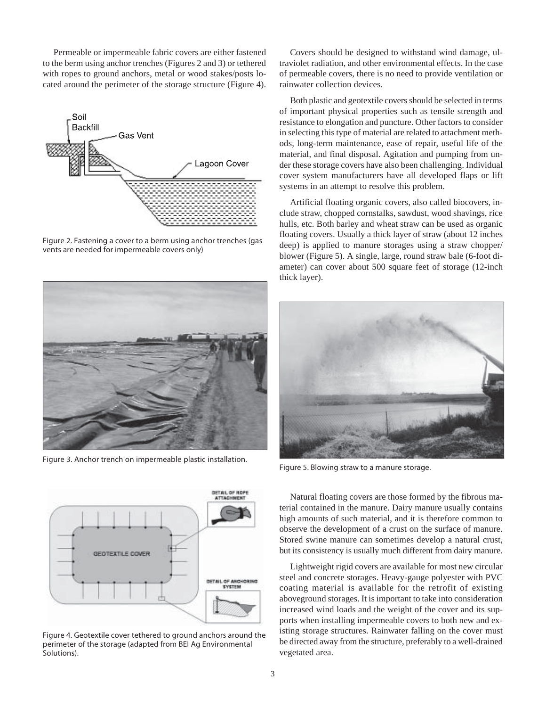Permeable or impermeable fabric covers are either fastened to the berm using anchor trenches (Figures 2 and 3) or tethered with ropes to ground anchors, metal or wood stakes/posts located around the perimeter of the storage structure (Figure 4).



Figure 2. Fastening a cover to a berm using anchor trenches (gas vents are needed for impermeable covers only)



Figure 3. Anchor trench on impermeable plastic installation.



Figure 4. Geotextile cover tethered to ground anchors around the perimeter of the storage (adapted from BEI Ag Environmental Solutions).

Covers should be designed to withstand wind damage, ultraviolet radiation, and other environmental effects. In the case of permeable covers, there is no need to provide ventilation or rainwater collection devices.

Both plastic and geotextile covers should be selected in terms of important physical properties such as tensile strength and resistance to elongation and puncture. Other factors to consider in selecting this type of material are related to attachment methods, long-term maintenance, ease of repair, useful life of the material, and final disposal. Agitation and pumping from under these storage covers have also been challenging. Individual cover system manufacturers have all developed flaps or lift systems in an attempt to resolve this problem.

Artificial floating organic covers, also called biocovers, include straw, chopped cornstalks, sawdust, wood shavings, rice hulls, etc. Both barley and wheat straw can be used as organic floating covers. Usually a thick layer of straw (about 12 inches deep) is applied to manure storages using a straw chopper/ blower (Figure 5). A single, large, round straw bale (6-foot diameter) can cover about 500 square feet of storage (12-inch thick layer).



Figure 5. Blowing straw to a manure storage.

Natural floating covers are those formed by the fibrous material contained in the manure. Dairy manure usually contains high amounts of such material, and it is therefore common to observe the development of a crust on the surface of manure. Stored swine manure can sometimes develop a natural crust, but its consistency is usually much different from dairy manure.

Lightweight rigid covers are available for most new circular steel and concrete storages. Heavy-gauge polyester with PVC coating material is available for the retrofit of existing aboveground storages. It is important to take into consideration increased wind loads and the weight of the cover and its supports when installing impermeable covers to both new and existing storage structures. Rainwater falling on the cover must be directed away from the structure, preferably to a well-drained vegetated area.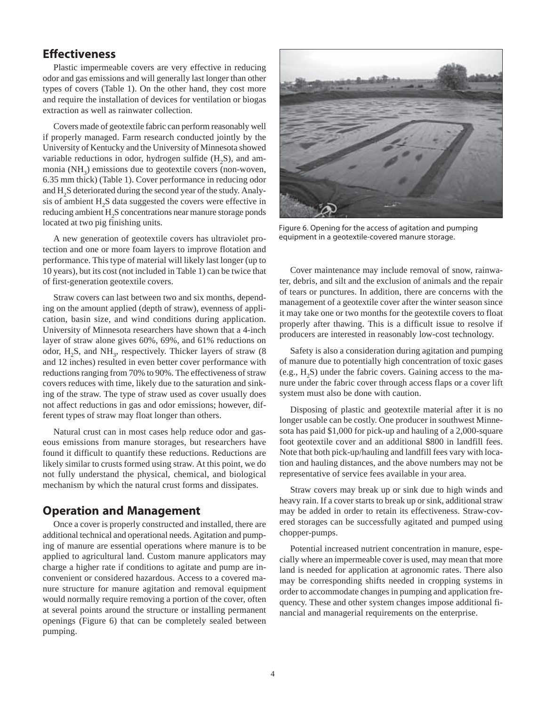## **Effectiveness**

Plastic impermeable covers are very effective in reducing odor and gas emissions and will generally last longer than other types of covers (Table 1). On the other hand, they cost more and require the installation of devices for ventilation or biogas extraction as well as rainwater collection.

Covers made of geotextile fabric can perform reasonably well if properly managed. Farm research conducted jointly by the University of Kentucky and the University of Minnesota showed variable reductions in odor, hydrogen sulfide  $(H_2S)$ , and ammonia (NH<sub>3</sub>) emissions due to geotextile covers (non-woven, 6.35 mm thick) (Table 1). Cover performance in reducing odor and  $H_2S$  deteriorated during the second year of the study. Analysis of ambient  $H_2S$  data suggested the covers were effective in reducing ambient  $\mathrm{H}_2\mathrm{S}$  concentrations near manure storage ponds located at two pig finishing units.

A new generation of geotextile covers has ultraviolet protection and one or more foam layers to improve flotation and performance. This type of material will likely last longer (up to 10 years), but its cost (not included in Table 1) can be twice that of first-generation geotextile covers.

Straw covers can last between two and six months, depending on the amount applied (depth of straw), evenness of application, basin size, and wind conditions during application. University of Minnesota researchers have shown that a 4-inch layer of straw alone gives 60%, 69%, and 61% reductions on odor,  $H_2S$ , and  $NH_3$ , respectively. Thicker layers of straw (8) and 12 inches) resulted in even better cover performance with reductions ranging from 70% to 90%. The effectiveness of straw covers reduces with time, likely due to the saturation and sinking of the straw. The type of straw used as cover usually does not affect reductions in gas and odor emissions; however, different types of straw may float longer than others.

Natural crust can in most cases help reduce odor and gaseous emissions from manure storages, but researchers have found it difficult to quantify these reductions. Reductions are likely similar to crusts formed using straw. At this point, we do not fully understand the physical, chemical, and biological mechanism by which the natural crust forms and dissipates.

#### **Operation and Management**

Once a cover is properly constructed and installed, there are additional technical and operational needs. Agitation and pumping of manure are essential operations where manure is to be applied to agricultural land. Custom manure applicators may charge a higher rate if conditions to agitate and pump are inconvenient or considered hazardous. Access to a covered manure structure for manure agitation and removal equipment would normally require removing a portion of the cover, often at several points around the structure or installing permanent openings (Figure 6) that can be completely sealed between pumping.



Figure 6. Opening for the access of agitation and pumping equipment in a geotextile-covered manure storage.

Cover maintenance may include removal of snow, rainwater, debris, and silt and the exclusion of animals and the repair of tears or punctures. In addition, there are concerns with the management of a geotextile cover after the winter season since it may take one or two months for the geotextile covers to float properly after thawing. This is a difficult issue to resolve if producers are interested in reasonably low-cost technology.

Safety is also a consideration during agitation and pumping of manure due to potentially high concentration of toxic gases (e.g.,  $H_2S$ ) under the fabric covers. Gaining access to the manure under the fabric cover through access flaps or a cover lift system must also be done with caution.

Disposing of plastic and geotextile material after it is no longer usable can be costly. One producer in southwest Minnesota has paid \$1,000 for pick-up and hauling of a 2,000-square foot geotextile cover and an additional \$800 in landfill fees. Note that both pick-up/hauling and landfill fees vary with location and hauling distances, and the above numbers may not be representative of service fees available in your area.

Straw covers may break up or sink due to high winds and heavy rain. If a cover starts to break up or sink, additional straw may be added in order to retain its effectiveness. Straw-covered storages can be successfully agitated and pumped using chopper-pumps.

Potential increased nutrient concentration in manure, especially where an impermeable cover is used, may mean that more land is needed for application at agronomic rates. There also may be corresponding shifts needed in cropping systems in order to accommodate changes in pumping and application frequency. These and other system changes impose additional financial and managerial requirements on the enterprise.